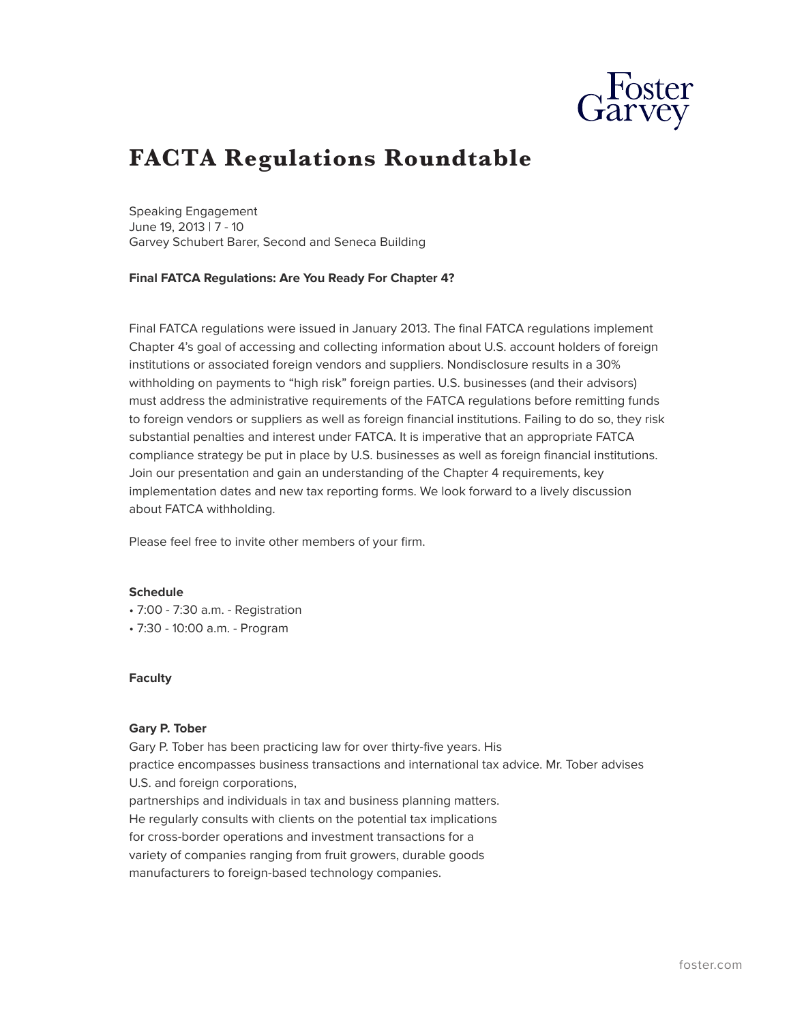

# **FACTA Regulations Roundtable**

Speaking Engagement June 19, 2013 | 7 - 10 Garvey Schubert Barer, Second and Seneca Building

**Final FATCA Regulations: Are You Ready For Chapter 4?**

Final FATCA regulations were issued in January 2013. The final FATCA regulations implement Chapter 4's goal of accessing and collecting information about U.S. account holders of foreign institutions or associated foreign vendors and suppliers. Nondisclosure results in a 30% withholding on payments to "high risk" foreign parties. U.S. businesses (and their advisors) must address the administrative requirements of the FATCA regulations before remitting funds to foreign vendors or suppliers as well as foreign financial institutions. Failing to do so, they risk substantial penalties and interest under FATCA. It is imperative that an appropriate FATCA compliance strategy be put in place by U.S. businesses as well as foreign financial institutions. Join our presentation and gain an understanding of the Chapter 4 requirements, key implementation dates and new tax reporting forms. We look forward to a lively discussion about FATCA withholding.

Please feel free to invite other members of your firm.

#### **Schedule**

- 7:00 7:30 a.m. Registration
- 7:30 10:00 a.m. Program

## **Faculty**

#### **Gary P. Tober**

Gary P. Tober has been practicing law for over thirty-five years. His practice encompasses business transactions and international tax advice. Mr. Tober advises U.S. and foreign corporations, partnerships and individuals in tax and business planning matters. He regularly consults with clients on the potential tax implications for cross-border operations and investment transactions for a variety of companies ranging from fruit growers, durable goods manufacturers to foreign-based technology companies.